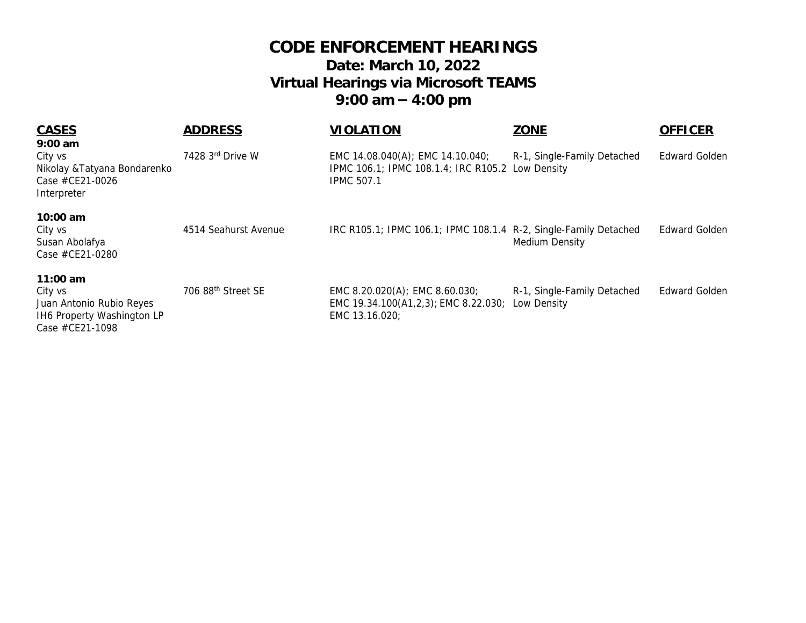## **CODE ENFORCEMENT HEARINGS Date: March 10, 2022 Virtual Hearings via Microsoft TEAMS 9:00 am – 4:00 pm**

| <b>CASES</b>                                                                                       | <b>ADDRESS</b>                 | <b>VIOLATION</b>                                                                                          | <b>ZONE</b>                                | <b>OFFICER</b>       |
|----------------------------------------------------------------------------------------------------|--------------------------------|-----------------------------------------------------------------------------------------------------------|--------------------------------------------|----------------------|
| $9:00$ am                                                                                          |                                |                                                                                                           |                                            |                      |
| City vs<br>Nikolay & Tatyana Bondarenko<br>Case #CE21-0026<br>Interpreter                          | 7428 3rd Drive W               | EMC 14.08.040(A); EMC 14.10.040;<br>IPMC 106.1; IPMC 108.1.4; IRC R105.2 Low Density<br><b>IPMC 507.1</b> | R-1, Single-Family Detached                | Edward Golden        |
| $10:00$ am<br>City vs<br>Susan Abolafya<br>Case #CE21-0280                                         | 4514 Seahurst Avenue           | IRC R105.1; IPMC 106.1; IPMC 108.1.4 R-2, Single-Family Detached                                          | Medium Density                             | <b>Edward Golden</b> |
| 11:00 $am$<br>City vs<br>Juan Antonio Rubio Reyes<br>IH6 Property Washington LP<br>Case #CE21-1098 | 706 88 <sup>th</sup> Street SE | EMC 8.20.020(A); EMC 8.60.030;<br>EMC 19.34.100(A1,2,3); EMC 8.22.030;<br>EMC 13.16.020;                  | R-1, Single-Family Detached<br>Low Density | <b>Edward Golden</b> |